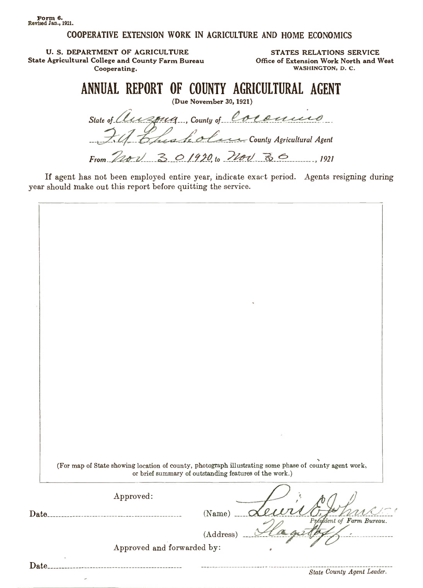Form 6. Revised Jan., 1921.

# COOPERATIVE EXTENSION WORK IN AGRICUlTURE AND HOME ECONOMICS

U. S. DEPARTMENT OF AGRICULTURE State Agricultural College and County Farm Bureau Cooperating.

STATES RELATIONS SERVICE Office of Extension Work North and West WASHINGTON, D. C.

# ANNUAL REPORT OF COUNTY AGRICULTURAL AGENT

(Due November 30, 1921)

State of Cluispug, County of Coronnes Chash olen County Agricultural Agent

From  $2201$  301920 to  $220 - 36$ 

If agent has not been employed entire year, indicate exact period. Agents resigning during year should make out this report before quitting the service.

|       | (For map of State showing location of county, photograph illustrating some phase of county agent work,<br>or brief summary of outstanding features of the work.) |  |
|-------|------------------------------------------------------------------------------------------------------------------------------------------------------------------|--|
|       | Approved:                                                                                                                                                        |  |
|       | $(Name)$ .<br>President of Farm Bureau.                                                                                                                          |  |
|       | (Address)<br>Approved and forwarded by:                                                                                                                          |  |
| Date. |                                                                                                                                                                  |  |
|       | State County Agent Leader.                                                                                                                                       |  |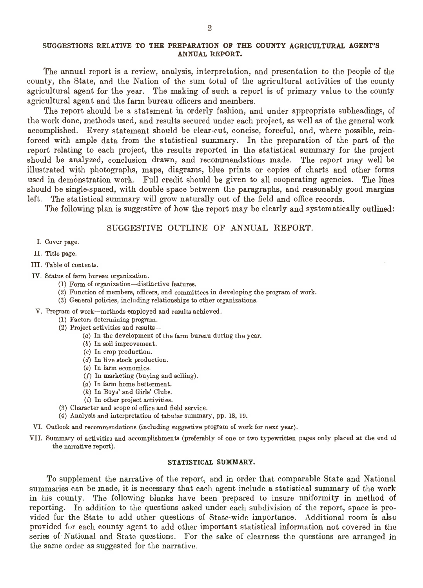## SUGGESTIONS RELATIVE TO THE PREPARATION OF THE COUNTY AGRICULTURAL AGENT'S ANNUAL REPORT.

The annual report is <sup>a</sup> review, analysis, interpretation, and presentation to the people of the county, the State, and the Nation of the sum total of the agricultural activities of the county agricultural agent for the year. The making of such <sup>a</sup> report is of primary value to the county agricultural agent and the farm bureau officers and members.

The report should be <sup>a</sup> statement in orderly fashion, and under appropriate subheadings, of the work done, methods used, and results secured under each project, as well as of the general work accomplished. Every statement should be clear-cut, concise, forceful, and, where possible, reinforced with ample data from the statistical summary. In the preparation of the part of the report relating to each project, the results reported in the statistical summary for the project should be analyzed, conclusion drawn, and recommendations made. The report may well be illustrated with photographs, maps, diagrams, blue prints or copies of charts and other forms used in demonstration work. Full credit should be given to all cooperating agencies. The lines should be single-spaced, with double space between the paragraphs, and reasonably good margins left. The statistical summary will grow naturally out of the field and office records.

The following plan is suggestive of how the report may be clearly and systematically outlined:

## SUGGESTIVE OUTLINE OF ANNUAL REPORT.

- I. Cover page.
- II. Title page.
- III. Table of contents.
- IV. Status of farm bureau organization.
	- (1) Form of organization-distinctive features.
	- (2) Function of members, officers, and committees in developing the program of work.
	- (3) General policies, including relationships to other organizations.
- V. Program of work-methods employed and results achieved.
	- (1) Factors determining program.
	- (2) Project activities and results-
		- (a) In the development of the farm bureau during the year.
		- (b) In soil improvement.
		- (c) In crop production.
		- (d) In live stock production.
		- (e) In farm economics.
		- (f) In marketing (buying and selling).
		- (g) In farm home betterment.
		- (h) In Boys' and Girls' Clubs.
		- (i) In other project activities.
	- (3) Character and scope of office and field service.
	- (4) Analysis and interpretation of tabular summary, pp. 18, 19.
- VI. Outlook and recommendations (including suggestive program of work for next year).
- VII. Summary of activities and accomplishments (preferably of one or two typewritten pages only placed at the end of the narrative report).

#### STATISTICAL SUMMARY.

To supplement the narrative of the report, and in order that comparable State and National summaries can be made, it is necessary that each agent include <sup>a</sup> statistical summary of the work in his county. The following blanks have been prepared to insure uniformity in method of reporting. In addition to the questions asked under each subdivision of the report, space is provided for the State to add other questions of State-wide importance. Additional room is also provided for each county agent to add other important statistical information not covered in the series of National and State questions. For the sake of clearness the questions are arranged in the same order as suggested for the narrative.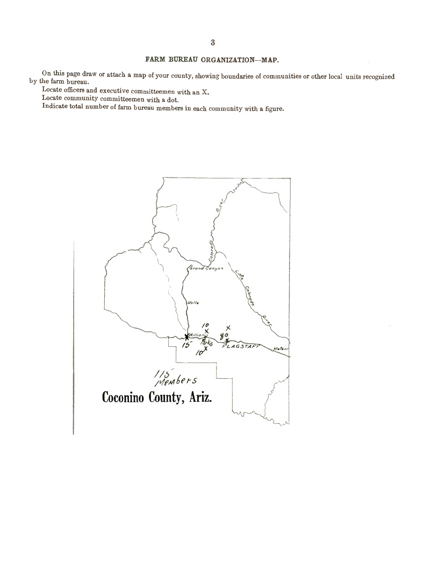# FARM BUREAU ORGANIZATION-MAP.

On this page draw or attach <sup>a</sup> map of your county, showing boundaries of communities or other local units recognized by the farm bureau.

Locate officers and executive committeemen with an X.

Locate community committeemen with <sup>a</sup> dot.

Indicate total number of farm bureau members in each community with <sup>a</sup> figure.

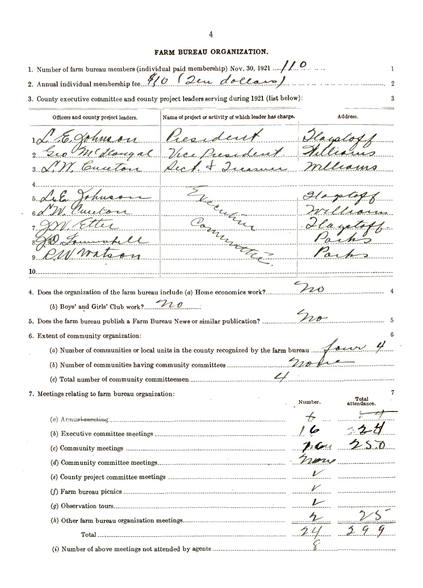# FARM BUREAU ORGANIZATION.

|                                                                               | 1. Number of farm bureau members (individual paid membership) Nov. 30, 1921 $\frac{1}{\sqrt{2}}$ |         | 1                            |
|-------------------------------------------------------------------------------|--------------------------------------------------------------------------------------------------|---------|------------------------------|
|                                                                               | 2. Annual individual membership fee 9/0 (2eu dollars)                                            |         | 2                            |
|                                                                               | 3. County executive committee and county project leaders serving during 1921 (list below):       |         | 3                            |
| Officers and county project leaders.                                          | Name of project or activity of which leader has charge.                                          |         | Address.                     |
|                                                                               | Pres-                                                                                            |         |                              |
| M' deougal                                                                    | Vice Pressa                                                                                      |         |                              |
| Cuceto                                                                        |                                                                                                  |         | tions                        |
|                                                                               |                                                                                                  |         |                              |
|                                                                               |                                                                                                  |         |                              |
|                                                                               |                                                                                                  |         | ron                          |
|                                                                               |                                                                                                  |         |                              |
|                                                                               |                                                                                                  |         |                              |
|                                                                               |                                                                                                  |         |                              |
|                                                                               |                                                                                                  |         |                              |
|                                                                               |                                                                                                  |         |                              |
| 4. Does the organization of the farm bureau include (a) Home economics work?. |                                                                                                  | $\nu$   |                              |
| (b) Boys' and Girls' Club work?                                               |                                                                                                  |         |                              |
|                                                                               | 5. Does the farm bureau publish a Farm Bureau News or similar publication?                       |         |                              |
| 6. Extent of community organization:                                          |                                                                                                  |         |                              |
|                                                                               | (a) Number of communities or local units in the county recognized by the farm bureau             |         |                              |
|                                                                               | (b) Number of communities having community committees                                            |         |                              |
|                                                                               |                                                                                                  |         |                              |
| 7. Meetings relating to farm bureau organization:                             |                                                                                                  |         |                              |
|                                                                               |                                                                                                  | Number. | Total<br>attendance.         |
|                                                                               |                                                                                                  |         |                              |
|                                                                               |                                                                                                  |         |                              |
|                                                                               |                                                                                                  |         |                              |
|                                                                               |                                                                                                  |         |                              |
|                                                                               | (c) Community meetings $\overline{\mathcal{P}(\mathcal{L}^{\prime})}$                            |         |                              |
|                                                                               |                                                                                                  |         |                              |
|                                                                               |                                                                                                  |         |                              |
|                                                                               |                                                                                                  |         | ---- ----------------------- |
|                                                                               |                                                                                                  |         |                              |
|                                                                               | Total 2                                                                                          |         |                              |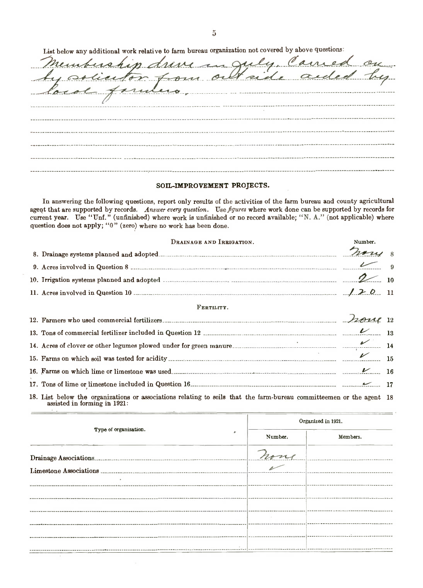List below any additional work relative to farm bureau organization not covered by above questions:

| membership dreve in July Carried on |
|-------------------------------------|
|                                     |
|                                     |
|                                     |
|                                     |
|                                     |
|                                     |
|                                     |
|                                     |

#### SOIL-IMPROVEMENT PROJECTS.

In answering the following questions, report only results of the activities of the farm bureau and county agricultural agent that are supported by records. Answer every question. Use figures where work done can be supported by records for current year. Use "Unf." (unfinished) where work is unfinished or no record available; "N. A." (not applicable) where question does not apply; "0" (zero) where no work has been done.

| DRAINAGE AND IRRIGATION.                                                                                                                               | Number. |  |
|--------------------------------------------------------------------------------------------------------------------------------------------------------|---------|--|
|                                                                                                                                                        |         |  |
| 9. Acres involved in Question 8 $\frac{2}{3}$                                                                                                          |         |  |
|                                                                                                                                                        |         |  |
| 11. Acres involved in Question 10 $\ldots$ $\ldots$ $\ldots$ $\ldots$ $\ldots$ $\ldots$ $\ldots$ $\ldots$ $\ldots$ $\ldots$ $\ldots$ $\ldots$ $\ldots$ |         |  |
| FERTILITY.                                                                                                                                             |         |  |
|                                                                                                                                                        |         |  |
|                                                                                                                                                        |         |  |
|                                                                                                                                                        |         |  |
|                                                                                                                                                        |         |  |
|                                                                                                                                                        |         |  |
|                                                                                                                                                        |         |  |
| 18. List below the organizations or associations relating to soils that the farm-bureau committeemen or the agent 18<br>assisted in forming in 1921:   |         |  |

|                       | Organized in 1921. |                                      |  |
|-----------------------|--------------------|--------------------------------------|--|
| Type of organization. | Number.            | Members.                             |  |
|                       | none               | ------------------------------------ |  |
|                       |                    |                                      |  |
|                       |                    |                                      |  |
|                       |                    |                                      |  |
|                       |                    |                                      |  |
|                       |                    |                                      |  |
|                       |                    |                                      |  |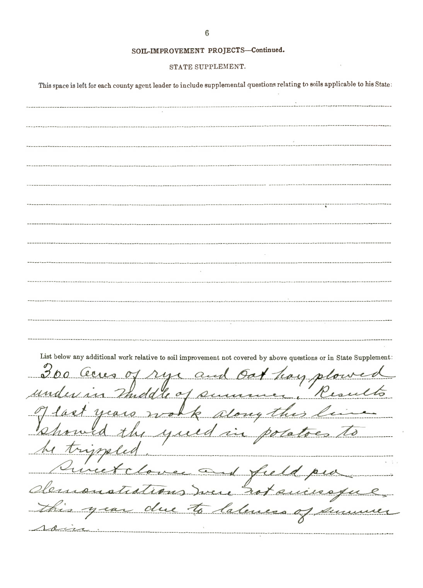|  | SOIL-IMPROVEMENT PROJECTS-Continued. |
|--|--------------------------------------|
|--|--------------------------------------|

#### STATE SUPPLEMENT.

This space is left for each county agent leader to include supplemental questions relating to soils applicable to his State:

List below any additional work relative to soil improvement not covered by above questions or in State Supplement: 300 Cenes of rye and Got hay plowed  $t\overline{6}$ recommuni um  $01R$  $\mathcal{U}$ yea ny th  $4\mu$  $\Lambda$ ota Tri  $\overline{\mathcal{M}}$ ----------------------------------field pur neet demonstations men rotaninoque roin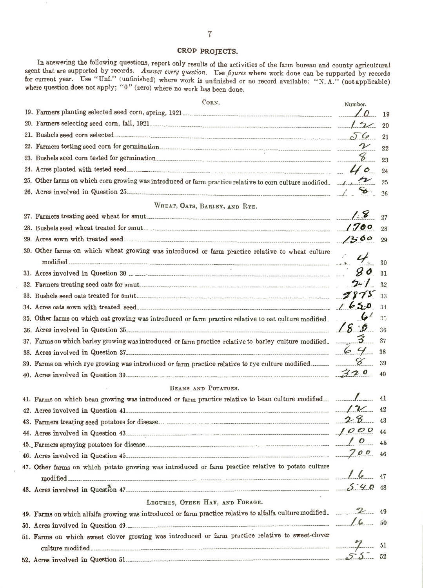# CROP PROJECTS.

In answering the following questions, report only results of the activities of the farm bureau and county agricultural agent that are supported by records. Answer every question. Use figures where work done can be supported by records for current year. Use "Unf." (unfinished) where work is unfinished or no record available; "N.A." (not applicable) where question does not apply; "0" (zero) where no work has been done.

| CORN.                                                                                                                             | Number.                |              |
|-----------------------------------------------------------------------------------------------------------------------------------|------------------------|--------------|
|                                                                                                                                   | $\angle 0$ 19          |              |
|                                                                                                                                   |                        |              |
|                                                                                                                                   |                        |              |
|                                                                                                                                   |                        | 22           |
|                                                                                                                                   |                        | 23           |
|                                                                                                                                   |                        | 24           |
| 25. Other farms on which corn growing was introduced or farm practice relative to corn culture modified.                          |                        | 25           |
|                                                                                                                                   |                        | 26           |
| WHEAT, OATS, BARLEY, AND RYE.                                                                                                     |                        |              |
|                                                                                                                                   |                        | 27           |
|                                                                                                                                   |                        | 28           |
|                                                                                                                                   |                        | 29           |
| 30. Other farms on which wheat growing was introduced or farm practice relative to wheat culture                                  |                        |              |
|                                                                                                                                   |                        | 30           |
|                                                                                                                                   | 80                     | 31           |
|                                                                                                                                   |                        | 32           |
|                                                                                                                                   |                        | 33           |
|                                                                                                                                   |                        | 34           |
| 35. Other farms on which oat growing was introduced or farm practice relative to oat culture modified.                            | $\mathcal{G}^{\prime}$ | $35^{\circ}$ |
|                                                                                                                                   |                        | 36           |
| 37. Farms on which barley growing was introduced or farm practice relative to barley culture modified. $\mathcal{Z}_{\text{max}}$ |                        | 37           |
|                                                                                                                                   |                        | 38           |
| 39. Farms on which rye growing was introduced or farm practice relative to rye culture modified                                   |                        | 39           |
|                                                                                                                                   |                        | 40           |
| BEANS AND POTATOES.                                                                                                               |                        |              |
|                                                                                                                                   |                        | 41           |
| 42. Acres involved in Question 41. $\sim$ $\sim$                                                                                  |                        | 42           |
|                                                                                                                                   |                        | 43           |
|                                                                                                                                   |                        | 44           |
|                                                                                                                                   |                        | 45           |
|                                                                                                                                   |                        | 46           |
| 47. Other farms on which potato growing was introduced or farm practice relative to potato culture                                |                        |              |
|                                                                                                                                   |                        | 47           |
|                                                                                                                                   |                        | 48           |
| LEGUMES, OTHER HAY, AND FORAGE.                                                                                                   |                        |              |
| 49. Farms on which alfalfa growing was introduced or farm practice relative to alfalfa culture modified.                          |                        | 49           |
|                                                                                                                                   |                        |              |
| 51. Farms on which sweet clover growing was introduced or farm practice relative to sweet-clover                                  |                        |              |
|                                                                                                                                   |                        |              |
|                                                                                                                                   |                        |              |
|                                                                                                                                   |                        |              |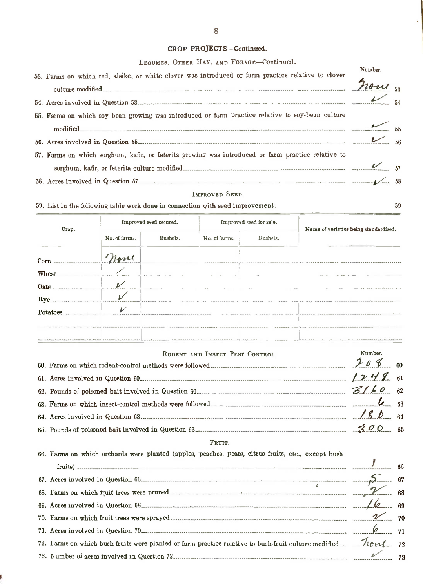# CROP PROJECTS-Continued.

| LEGUMES, OTHER HAY, AND FORAGE-Continued.                                                          |         |  |
|----------------------------------------------------------------------------------------------------|---------|--|
| 53. Farms on which red, alsike, or white clover was introduced or farm practice relative to clover | Number. |  |
|                                                                                                    |         |  |
|                                                                                                    |         |  |
|                                                                                                    |         |  |
| 55. Farms on which soy bean growing was introduced or farm practice relative to soy-bean culture   |         |  |
|                                                                                                    |         |  |
|                                                                                                    |         |  |
| 57. Farms on which sorghum, kafir, or feterita growing was introduced or farm practice relative to |         |  |
|                                                                                                    |         |  |
|                                                                                                    |         |  |

## IMPROVED SEED.

59

59. List in the following table work done in connection with seed improvement:

| Crop.                                                                                                                  |               | Improved seed secured. |                                 | Improved seed for sale.<br>Name of varieties being standardized. |                                                                                                                                                                                                                                |         |  |
|------------------------------------------------------------------------------------------------------------------------|---------------|------------------------|---------------------------------|------------------------------------------------------------------|--------------------------------------------------------------------------------------------------------------------------------------------------------------------------------------------------------------------------------|---------|--|
|                                                                                                                        | No. of farms. | Bushels.               | No. of farms.                   | Bushels.                                                         |                                                                                                                                                                                                                                |         |  |
| Corn move                                                                                                              |               |                        |                                 |                                                                  |                                                                                                                                                                                                                                |         |  |
|                                                                                                                        |               |                        |                                 |                                                                  |                                                                                                                                                                                                                                |         |  |
| $0$ ats.                                                                                                               |               |                        |                                 |                                                                  |                                                                                                                                                                                                                                |         |  |
|                                                                                                                        |               |                        |                                 |                                                                  |                                                                                                                                                                                                                                |         |  |
|                                                                                                                        |               |                        |                                 |                                                                  |                                                                                                                                                                                                                                |         |  |
|                                                                                                                        |               |                        |                                 |                                                                  |                                                                                                                                                                                                                                |         |  |
|                                                                                                                        |               |                        | RODENT AND INSECT PEST CONTROL. |                                                                  |                                                                                                                                                                                                                                | Number. |  |
|                                                                                                                        |               |                        |                                 |                                                                  |                                                                                                                                                                                                                                |         |  |
|                                                                                                                        |               |                        |                                 |                                                                  |                                                                                                                                                                                                                                |         |  |
|                                                                                                                        |               |                        |                                 |                                                                  |                                                                                                                                                                                                                                | 6.63    |  |
|                                                                                                                        |               |                        |                                 |                                                                  |                                                                                                                                                                                                                                |         |  |
| 65. Pounds of poisoned bait involved in Question 63. The measurement of $3\sigma$ 65                                   |               |                        |                                 |                                                                  |                                                                                                                                                                                                                                |         |  |
|                                                                                                                        |               |                        | FRUIT.                          |                                                                  |                                                                                                                                                                                                                                |         |  |
| 66. Farms on which orchards were planted (apples, peaches, pears, citrus fruits, etc., except bush                     |               |                        |                                 |                                                                  |                                                                                                                                                                                                                                |         |  |
|                                                                                                                        |               |                        |                                 |                                                                  |                                                                                                                                                                                                                                |         |  |
|                                                                                                                        |               |                        |                                 |                                                                  |                                                                                                                                                                                                                                |         |  |
|                                                                                                                        |               |                        |                                 |                                                                  |                                                                                                                                                                                                                                |         |  |
|                                                                                                                        |               |                        |                                 |                                                                  |                                                                                                                                                                                                                                |         |  |
|                                                                                                                        |               |                        |                                 |                                                                  |                                                                                                                                                                                                                                |         |  |
| 72. Farms on which bush fruits were planted or farm practice relative to bush-fruit culture modified $\mathcal{H}_{L}$ |               |                        |                                 |                                                                  |                                                                                                                                                                                                                                |         |  |
|                                                                                                                        |               |                        |                                 |                                                                  | 73. Number of acres involved in Question 72. [13] 73. [23] 73. [23] 73. [23] 73. [23] 73. [23] 73. [23] 73. [23] 73. [23] 73. [23] 73. [23] 73. [23] 73. [23] 73. [23] 73. [23] 73. [23] 73. [23] 73. [23] 73. [23] 73. [23] 7 |         |  |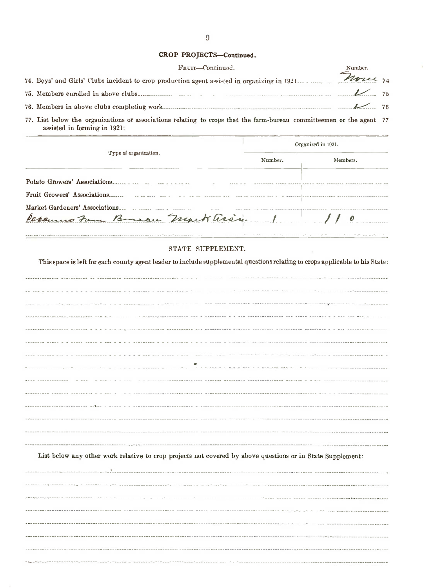## CROP PROJECTS-Continued.

| CROP PROJECTS-Continued.                                                                                                                             |         |  |
|------------------------------------------------------------------------------------------------------------------------------------------------------|---------|--|
| Frum-Continued.                                                                                                                                      | Number. |  |
| 74. Boys' and Girls' ('lubs incident to crop production agent assisted in organizing in 1921                                                         |         |  |
|                                                                                                                                                      |         |  |
|                                                                                                                                                      |         |  |
| 77. List below the organizations or associations relating to crops that the farm-bureau committeemen or the agent 77<br>assisted in forming in 1921: |         |  |

|                                                                 | Organized in 1921. |                |  |
|-----------------------------------------------------------------|--------------------|----------------|--|
| Type of organization.                                           | Number.            | Members.       |  |
| Potato Growers' Associations.                                   |                    |                |  |
| Fruit Growers' Associations                                     |                    |                |  |
| Market Gardeners' Associations<br>Casemus Fam Burrau Mark arin. |                    | $\frac{1}{10}$ |  |

#### STATE SUPPLEMENT.

This space is left for each county agent leader to include supplemental questions relating to crops applicable to his State:

| anning a c i illianischer a anni a c a a . In the there thereich componentes to consideringly distinctional |
|-------------------------------------------------------------------------------------------------------------|
| Barie periodica paranger-research six a province - - --- processorient --- ----- -----                      |
|                                                                                                             |
|                                                                                                             |
|                                                                                                             |
|                                                                                                             |
|                                                                                                             |
|                                                                                                             |
|                                                                                                             |
|                                                                                                             |
|                                                                                                             |
|                                                                                                             |

List below any other work relative to crop projects not covered by above questions or in State Supplement:

\_\_\_\_\_\_\_\_\_\_\_\_\_\_\_\_\_\_\_\_\_\_\_\_\_\_\_\_\_\_\_\_\_\_\_ J \_ \_ \_ \_ \_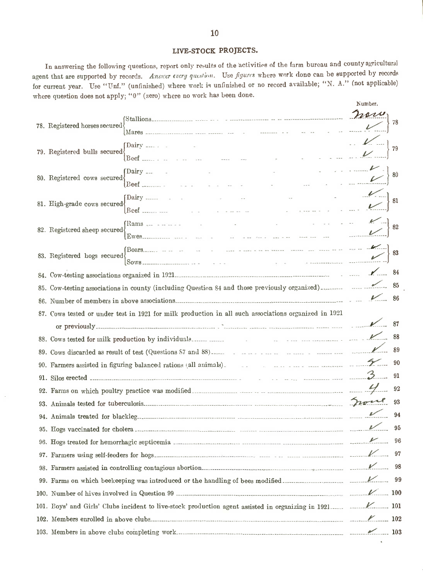# LIVE-STOCK PROJECTS.

In answering the following questions, report only results of the activities of the farm bureau and county agricultural agent that are supported by records. Answer every question. Use figures where work done can be supported by records for current year. Use "Unf." (unfinished) where work is unfinished or no record available; "N. A." (not applicable) where question does not apply; "0" (zero) where no work has been done.

|                                                                                                                                                                                                                               | Number.   |
|-------------------------------------------------------------------------------------------------------------------------------------------------------------------------------------------------------------------------------|-----------|
|                                                                                                                                                                                                                               | non       |
| 78. Registered horses secured                                                                                                                                                                                                 | 78        |
| $\sum_{n=1}^{\infty}$                                                                                                                                                                                                         |           |
| 79. Registered bulls secured<br>and the contract                                                                                                                                                                              | 79        |
|                                                                                                                                                                                                                               |           |
| $\lceil \text{Dairy} \rceil$<br>80. Registered cows secured                                                                                                                                                                   |           |
| $\text{Beef}$                                                                                                                                                                                                                 |           |
| $\sum_{i=1}^{n}$<br>$\sim$ $\sim$<br>$\sim$<br>81. High-grade cows secured                                                                                                                                                    | 81        |
| <b>Contract Contract Contract Contract</b>                                                                                                                                                                                    |           |
| and the participants of the<br>$(Rams_{\tau-1} + \cdots + \tau_{\tau-1})$<br>82. Registered sheep secured                                                                                                                     |           |
|                                                                                                                                                                                                                               |           |
|                                                                                                                                                                                                                               |           |
| 83. Registered hogs secured                                                                                                                                                                                                   |           |
|                                                                                                                                                                                                                               |           |
| 85. Cow-testing associations in county (including Question 84 and those previously organized).                                                                                                                                |           |
|                                                                                                                                                                                                                               |           |
| 87. Cows tested or under test in 1921 for milk production in all such associations organized in 1921                                                                                                                          |           |
| or previously $\sim$ 87                                                                                                                                                                                                       |           |
|                                                                                                                                                                                                                               |           |
|                                                                                                                                                                                                                               |           |
| 90. Farmers assisted in figuring balanced rations (all animals). The contract of the contract of the contract of the contract of the contract of the contract of the contract of the contract of the contract of the contract |           |
| 91. Silos erected $\sim$ 3.                                                                                                                                                                                                   | - 91      |
|                                                                                                                                                                                                                               | $\sim$ 92 |
|                                                                                                                                                                                                                               | 93        |
|                                                                                                                                                                                                                               | 94        |
|                                                                                                                                                                                                                               |           |
|                                                                                                                                                                                                                               |           |
|                                                                                                                                                                                                                               |           |
|                                                                                                                                                                                                                               |           |
|                                                                                                                                                                                                                               |           |
|                                                                                                                                                                                                                               |           |
|                                                                                                                                                                                                                               |           |
|                                                                                                                                                                                                                               |           |
|                                                                                                                                                                                                                               |           |
|                                                                                                                                                                                                                               |           |
|                                                                                                                                                                                                                               |           |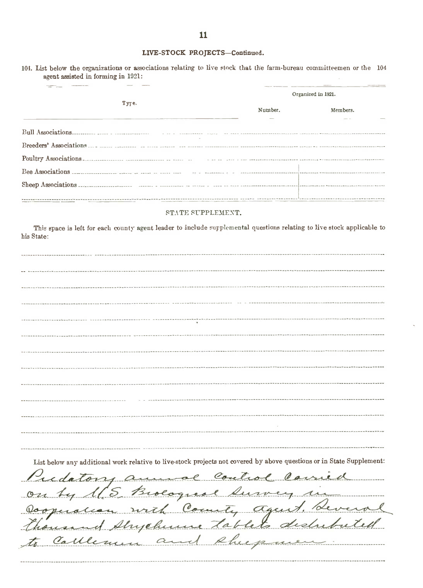# LIVE-STOCK PROJECTS-Continued.

|                                                                                                                                                      |         | Organized in 1921. |
|------------------------------------------------------------------------------------------------------------------------------------------------------|---------|--------------------|
| Type.                                                                                                                                                | Number. | Members.           |
|                                                                                                                                                      |         |                    |
|                                                                                                                                                      |         |                    |
| Poultry Associations                                                                                                                                 |         |                    |
|                                                                                                                                                      |         |                    |
|                                                                                                                                                      |         |                    |
| STATE SUPPLEMENT.                                                                                                                                    |         |                    |
| This space is left for each county agent leader to include supplemental questions relating to live stock applicable to<br>his State:                 |         |                    |
|                                                                                                                                                      |         |                    |
|                                                                                                                                                      |         |                    |
|                                                                                                                                                      |         |                    |
|                                                                                                                                                      |         |                    |
|                                                                                                                                                      |         |                    |
|                                                                                                                                                      |         |                    |
|                                                                                                                                                      |         |                    |
|                                                                                                                                                      |         |                    |
|                                                                                                                                                      |         |                    |
|                                                                                                                                                      |         |                    |
|                                                                                                                                                      |         |                    |
|                                                                                                                                                      |         |                    |
|                                                                                                                                                      |         |                    |
|                                                                                                                                                      |         |                    |
|                                                                                                                                                      |         |                    |
|                                                                                                                                                      |         |                    |
|                                                                                                                                                      |         |                    |
| List below any additional work relative to live-stock projects not covered by above questions or in State Supplement:                                |         |                    |
|                                                                                                                                                      |         |                    |
|                                                                                                                                                      |         |                    |
| Pudatory annual Control Carried<br>on by 165 Brologuese Survey in<br>Dooperation with County agent. Leveral<br>thousand Shychime tablets distributed |         |                    |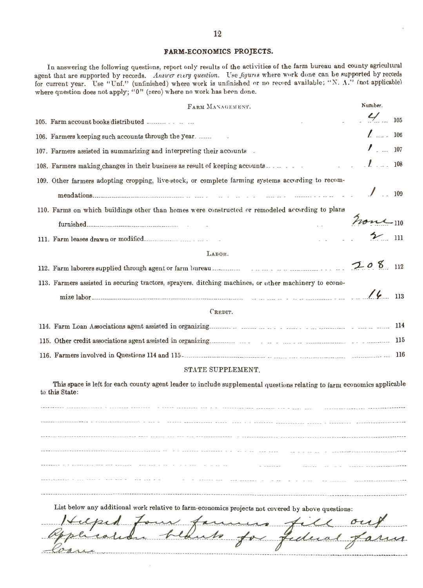## FARM-ECONOMICS PROJECTS.

In answering the following questions, report only results of the activities of the farm bureau and county agricultural agent that are supported by records. Answer every question. Use figures where work done can be supported by records for current year. Use "Unf." (unfinished) where work is unfinished or no record available; "N. A." (not applicable) where question does not apply; "0" (zero) where no work has been done.

| FARM MANAGEMENT.                                                                                                                          | Number.           |  |
|-------------------------------------------------------------------------------------------------------------------------------------------|-------------------|--|
|                                                                                                                                           | $\frac{2}{105}$   |  |
| 106. Farmers keeping such accounts through the year                                                                                       | $\frac{1}{2}$ 106 |  |
| 107. Farmers assisted in summarizing and interpreting their accounts -                                                                    | $\frac{1}{2}$ 107 |  |
|                                                                                                                                           |                   |  |
| 109. Other farmers adopting cropping, live-stock, or complete farming systems according to recom-                                         |                   |  |
| 110. Farms on which buildings other than homes were constructed or remodeled according to plans                                           |                   |  |
|                                                                                                                                           | none 110          |  |
|                                                                                                                                           | $\frac{1}{2}$ m   |  |
| LABOR.                                                                                                                                    |                   |  |
|                                                                                                                                           | $208$ 112         |  |
| 113. Farmers assisted in securing tractors, sprayers, ditching machines, or other machinery to econo-                                     |                   |  |
|                                                                                                                                           |                   |  |
| CREDIT.                                                                                                                                   |                   |  |
|                                                                                                                                           |                   |  |
|                                                                                                                                           |                   |  |
|                                                                                                                                           |                   |  |
| STATE SUPPLEMENT.                                                                                                                         |                   |  |
| This space is left for each county agent leader to include supplemental questions relating to farm economics applicable<br>to this State: |                   |  |
| The second problems are the consistented payment are a particle in consistent representations                                             |                   |  |

- - - - - - - - - - - - - - - - --- - - -- - - - - - - - - - - - -- -- -- -- -- -- - - - - - - --- -------- --- -- --- ------ - - - - - -- -- - - - - - - - - - -- -- -------------- -- - - \_ ... - - - - ------- - - - ---------- -- - - - - - \_ ..

List below any additional work relative to farm-economics projects not covered by above questions:

 $\iota$  $\rightarrow$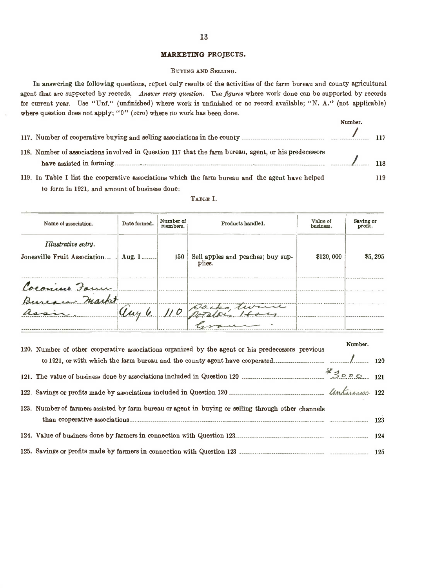# MARKETING PROJECTS.

#### BUYING AND SELLING.

In answering the following questions, report only results of the activities of the farm bureau and county agricultural agent that are supported by records. Answer every question. Use figures where work done can be supported by records for current year. Use "Unf." (unfinished) where work is unfinished or no record available; "N. A." (not applicable) where question does not apply; " $0$ " (zero) where no work has been done.

|                                                                                                       | Number.        |     |
|-------------------------------------------------------------------------------------------------------|----------------|-----|
| 118. Number of associations involved in Question 117 that the farm bureau, agent, or his predecessors | $\frac{1}{18}$ |     |
| 119. In Table I list the cooperative associations which the farm bureau and the agent have helped     |                | 119 |

to form in 1921, and amount of business done:

|          |                                             | business.   | profit. |
|----------|---------------------------------------------|-------------|---------|
| 150      | Sell apples and peaches; buy sup-<br>plies. | \$120,000   | \$5,295 |
|          |                                             |             |         |
|          |                                             |             |         |
| Aug. $1$ |                                             | Pocks, twin |         |

TABLE I.

| 120. Number of other cooperative associations organized by the agent or his predecessors previous   | Number. |  |
|-----------------------------------------------------------------------------------------------------|---------|--|
|                                                                                                     |         |  |
|                                                                                                     |         |  |
|                                                                                                     |         |  |
| 123. Number of farmers assisted by farm bureau or agent in buying or selling through other channels |         |  |
|                                                                                                     |         |  |
|                                                                                                     |         |  |
|                                                                                                     |         |  |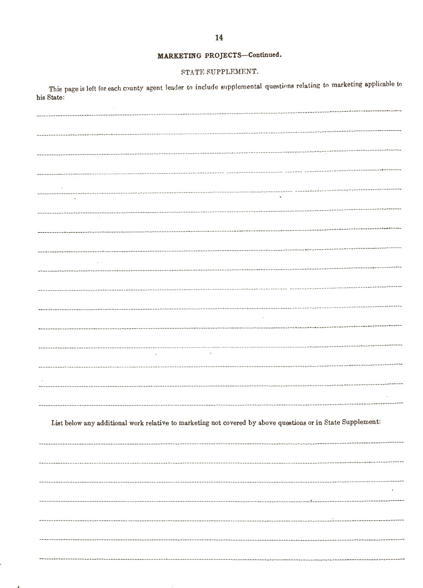# MARKETING PROJECTS-Continued.

# STATE SUPPLEMENT.

This page is left for each county agent leader to include supplemental questions relating to marketing applicable to his State:

------------------------------List below any additional work relative to marketing not covered by above questions or in State Supplement: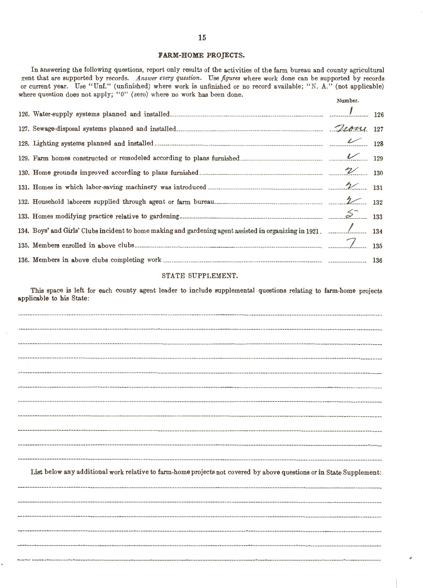#### FARM-HOME PROJECTS.

In answering the following questions, report only results of the activities of the farm bureau and county agricultural gent that are supported by records. Answer every question. Use figures where work done can be supported by records or current year. Use "Unf." (unfinished) where work is unfinished or no record available; "N. A." (not applicable) where question does not apply; "0" (zero) where no work has been done. Number.

| 134. Boys' and Girls' Clubs incident to home making and gardening agent assisted in organizing in 1921. _______________ 134 |  |
|-----------------------------------------------------------------------------------------------------------------------------|--|
|                                                                                                                             |  |
|                                                                                                                             |  |

#### STATE SUPPLEMENT.

This space is left for each county agent leader to include supplemental questions relating to farm-home projects applicable to his State:

| List below any additional work relative to farm-home projects not covered by above questions or in State Supplement: |
|----------------------------------------------------------------------------------------------------------------------|
|                                                                                                                      |
|                                                                                                                      |
|                                                                                                                      |
|                                                                                                                      |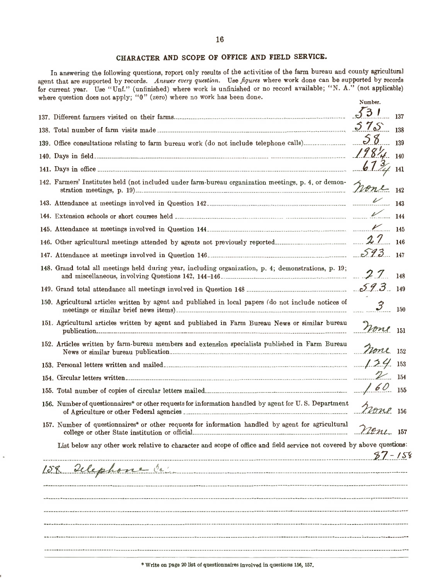# CHARACTER AND SCOPE OF OFFICE AND FIELD SERVICE.

In answering the following questions, report only results of the activities of the farm bureau and county agricultural agent that are supported by records. Answer every question. Use figures where work done can be supported by records for current year. Use "Unf." (unfinished) where work is unfinished or no record available; "N. A." (not applicable) where question does not apply; "0" (zero) where no work has been done. Number.

|                                                                                                                       | 531        |     |
|-----------------------------------------------------------------------------------------------------------------------|------------|-----|
|                                                                                                                       |            | 137 |
|                                                                                                                       |            |     |
|                                                                                                                       |            | 139 |
|                                                                                                                       |            |     |
|                                                                                                                       |            |     |
| 142. Farmers' Institutes held (not included under farm-bureau organization meetings, p. 4, or demon-                  |            |     |
|                                                                                                                       |            |     |
|                                                                                                                       |            |     |
|                                                                                                                       |            |     |
|                                                                                                                       |            |     |
|                                                                                                                       |            |     |
| 148. Grand total all meetings held during year, including organization, p. 4; demonstrations, p. 19;                  |            |     |
|                                                                                                                       |            |     |
| 150. Agricultural articles written by agent and published in local papers (do not include notices of                  |            |     |
| 151. Agricultural articles written by agent and published in Farm Bureau News or similar bureau                       | none 151   |     |
| 152. Articles written by farm-bureau members and extension specialists published in Farm Bureau                       | None 152   |     |
|                                                                                                                       |            |     |
|                                                                                                                       |            |     |
|                                                                                                                       |            |     |
| 156. Number of questionnaires* or other requests for information handled by agent for U.S. Department                 |            |     |
| 157. Number of questionnaires* or other requests for information handled by agent for agricultural                    | none 157   |     |
| List below any other work relative to character and scope of office and field service not covered by above questions: |            |     |
|                                                                                                                       | $87 - 158$ |     |
| 158 Delephone Or                                                                                                      |            |     |
|                                                                                                                       |            |     |
|                                                                                                                       |            |     |
|                                                                                                                       |            |     |
|                                                                                                                       |            |     |
|                                                                                                                       |            |     |
|                                                                                                                       |            |     |

\*Write on page <sup>20</sup> list of questionnaires Involved in questions 156,157.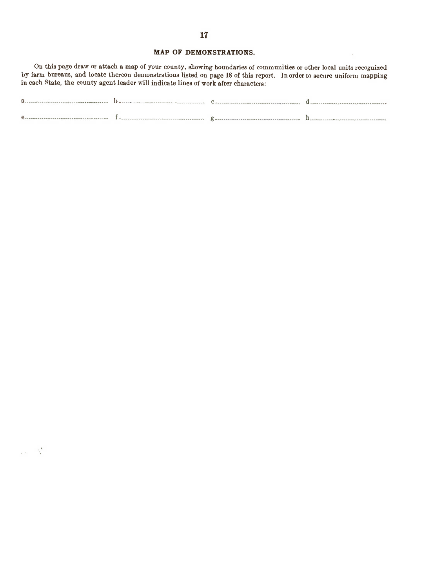# MAP OF DEMONSTRATIONS.

 $\mathcal{A}$ 

On this page draw or attach <sup>a</sup> map of your county, showing boundaries of communities or other local units recognized by farm bureaus, and locate thereon demonstrations listed on page 18 of this report. In order to secure uniform mapping in each State, the county agent leader will indicate lines of work after characters:

| $\circ$ |  |  |
|---------|--|--|

 $\omega_{\rm E} = \frac{1}{2} \frac{d}{dt}$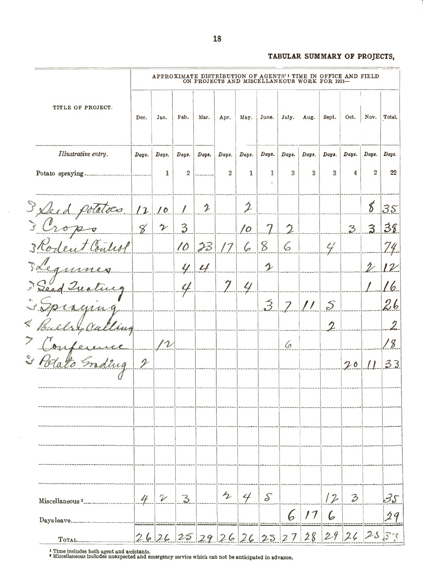# TABULAR SUMMARY OF PROJECTS,

|                                    |                |                            |                |               |                |                | APPROXIMATE DISTRIBUTION OF AGENTS' I TIME IN OFFICE AND FIELD<br>ON PROJECTS AND MISCELLANEOUS WORK FOR 1921- |       |       |                  |               |                |        |
|------------------------------------|----------------|----------------------------|----------------|---------------|----------------|----------------|----------------------------------------------------------------------------------------------------------------|-------|-------|------------------|---------------|----------------|--------|
| TITLE OF PROJECT.                  | Dec.           | Jan.                       | Feb.           | Маг.          | Apr.           | May.           | June.                                                                                                          | July. | Aug.  | Sept.            | Oct.          | Nov.           | Total. |
| Illustrative entry.                | Days.          | Days.                      | Days.          | Days.         | Days.          | Days.          | Days.                                                                                                          | Days. | Days. | Days.            | Days.         | Days.          | Days.  |
| Potato spraying                    |                | 1                          | $\overline{2}$ |               | $\overline{2}$ | 1              | ı                                                                                                              | 3     | 3     | 3                | 4             | $\overline{2}$ | 22     |
| 3 Deed f<br>latoco                 | $\overline{L}$ | <u>/ 6</u>                 | $\prime$       | 2             |                | $\mathcal{D}$  |                                                                                                                |       |       |                  |               | 8              | 35     |
| Crop<br>$\mathbf{r}$               | 8              | $\boldsymbol{\gamma}$      | $\mathfrak{Z}$ |               |                | 10             |                                                                                                                |       |       |                  | 3             | $\mathbf{3}$   | 38     |
| 3 Rodent Coulest                   |                |                            | 10             | 23            | 17             | 6              | 8                                                                                                              | 6     |       | $\epsilon$       |               |                | 74     |
| $\mathbb{R}^{\alpha}$<br>Ceguines. |                |                            | 4              | $\mathcal{L}$ |                |                | $\mathcal{L}$                                                                                                  |       |       |                  |               | $\mathcal{V}$  | $l\nu$ |
| Seed Trea<br>tive                  |                |                            |                |               | 7              | 4              |                                                                                                                |       |       |                  |               |                | L 6.   |
|                                    |                |                            |                |               |                |                | $\mathfrak{Z}$                                                                                                 |       | / /   | $\mathcal{S}$    |               |                | 26     |
|                                    |                |                            |                |               |                |                |                                                                                                                |       |       | $\boldsymbol{2}$ |               |                | 2      |
|                                    |                |                            |                |               |                |                |                                                                                                                | 6     |       |                  |               |                | 18     |
|                                    | $\mathcal{P}$  |                            |                |               |                |                |                                                                                                                |       |       |                  | 20            |                | 33     |
|                                    |                |                            |                |               |                |                |                                                                                                                |       |       |                  |               |                |        |
|                                    |                |                            |                |               |                |                |                                                                                                                |       |       |                  |               |                |        |
|                                    |                |                            |                |               |                |                |                                                                                                                |       |       |                  |               |                |        |
|                                    |                |                            |                |               |                |                |                                                                                                                |       |       |                  |               |                |        |
| Miscellaneous <sup>2</sup>         | 4              | $\boldsymbol{\mathcal{V}}$ | 3              |               | $\mathcal{L}$  | $4\frac{1}{2}$ | $\mathcal{S}$                                                                                                  |       |       | 12               | $\mathcal{Z}$ |                | 35     |
| Daysleave                          |                |                            |                |               |                |                |                                                                                                                | 6     | 17    | 6                |               |                | 29     |
| TOTAL                              |                |                            |                |               |                |                | 2626252926262327                                                                                               |       | 28    |                  | 2926253       |                |        |

<sup>I</sup> Time includes both agent and assistants. <sup>I</sup> Miscellaneous includes unexpected and emergency service which can not be anticipated in advance.